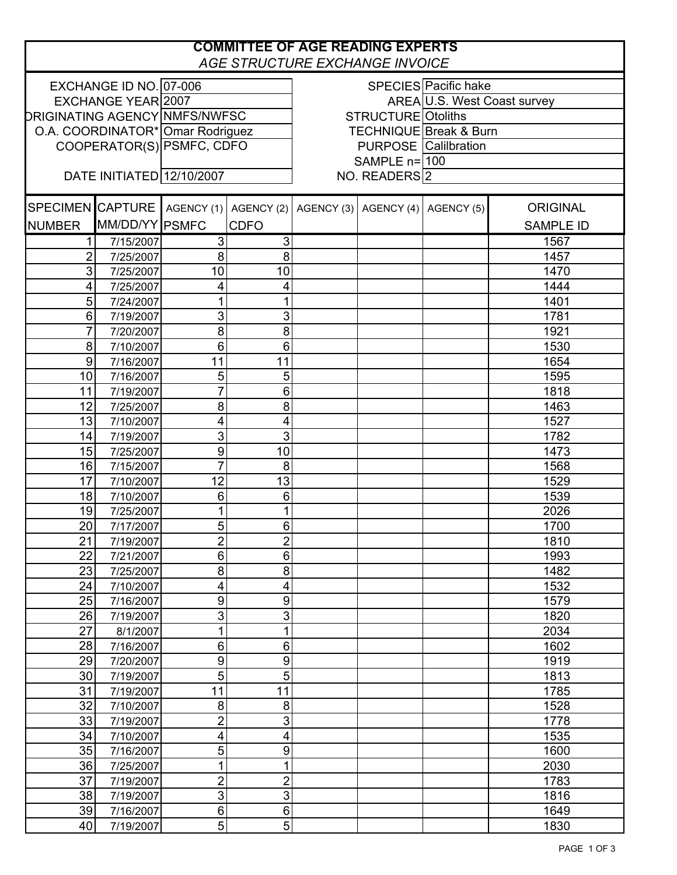| <b>COMMITTEE OF AGE READING EXPERTS</b><br>AGE STRUCTURE EXCHANGE INVOICE |                             |                           |                           |                                   |                                             |                             |                  |  |
|---------------------------------------------------------------------------|-----------------------------|---------------------------|---------------------------|-----------------------------------|---------------------------------------------|-----------------------------|------------------|--|
|                                                                           | EXCHANGE ID NO. 07-006      |                           |                           | SPECIES Pacific hake              |                                             |                             |                  |  |
| EXCHANGE YEAR 2007                                                        |                             |                           |                           |                                   |                                             | AREA U.S. West Coast survey |                  |  |
| <b>DRIGINATING AGENCY NMFS/NWFSC</b>                                      |                             |                           |                           | <b>STRUCTURE</b> Otoliths         |                                             |                             |                  |  |
| O.A. COORDINATOR* Omar Rodriguez                                          |                             |                           |                           | <b>TECHNIQUE Break &amp; Burn</b> |                                             |                             |                  |  |
| COOPERATOR(S) PSMFC, CDFO                                                 |                             |                           |                           | <b>PURPOSE</b> Calilbration       |                                             |                             |                  |  |
|                                                                           |                             |                           |                           | SAMPLE n=100                      |                                             |                             |                  |  |
| DATE INITIATED 12/10/2007                                                 |                             |                           |                           | NO. READERS 2                     |                                             |                             |                  |  |
|                                                                           |                             |                           |                           |                                   |                                             |                             |                  |  |
|                                                                           | SPECIMEN CAPTURE AGENCY (1) |                           |                           |                                   | AGENCY (2) AGENCY (3) AGENCY (4) AGENCY (5) |                             | <b>ORIGINAL</b>  |  |
| <b>NUMBER</b>                                                             | MM/DD/YY PSMFC              |                           | CDFO                      |                                   |                                             |                             | <b>SAMPLE ID</b> |  |
|                                                                           | 7/15/2007                   | $\ensuremath{\mathsf{3}}$ | $\sqrt{3}$                |                                   |                                             |                             | 1567             |  |
| 1<br>$\overline{2}$                                                       |                             | 8                         | 8                         |                                   |                                             |                             | 1457             |  |
| 3                                                                         | 7/25/2007                   | 10                        | 10                        |                                   |                                             |                             | 1470             |  |
| 4                                                                         | 7/25/2007                   |                           |                           |                                   |                                             |                             | 1444             |  |
| 5                                                                         | 7/25/2007<br>7/24/2007      | 4<br>1                    | 4<br>1                    |                                   |                                             |                             | 1401             |  |
| 6                                                                         | 7/19/2007                   | $\mathsf 3$               | $\mathsf 3$               |                                   |                                             |                             | 1781             |  |
| 7                                                                         |                             | 8                         | 8                         |                                   |                                             |                             | 1921             |  |
| 8                                                                         | 7/20/2007                   | $6\phantom{1}$            | 6                         |                                   |                                             |                             | 1530             |  |
| 9                                                                         | 7/10/2007<br>7/16/2007      | 11                        | 11                        |                                   |                                             |                             | 1654             |  |
| 10                                                                        | 7/16/2007                   | $\overline{5}$            | $\sqrt{5}$                |                                   |                                             |                             | 1595             |  |
| 11                                                                        |                             | $\overline{7}$            | 6                         |                                   |                                             |                             | 1818             |  |
| 12                                                                        | 7/19/2007<br>7/25/2007      | 8                         | 8                         |                                   |                                             |                             | 1463             |  |
| 13                                                                        | 7/10/2007                   | 4                         |                           |                                   |                                             |                             | 1527             |  |
| 14                                                                        |                             | $\mathsf 3$               | 4<br>3                    |                                   |                                             |                             | 1782             |  |
| 15                                                                        | 7/19/2007                   | 9                         | 10                        |                                   |                                             |                             | 1473             |  |
| 16                                                                        | 7/25/2007                   | $\overline{7}$            | 8                         |                                   |                                             |                             | 1568             |  |
| 17                                                                        | 7/15/2007<br>7/10/2007      | 12                        | 13                        |                                   |                                             |                             | 1529             |  |
| 18                                                                        | 7/10/2007                   | $6\phantom{1}6$           | 6                         |                                   |                                             |                             | 1539             |  |
| 19                                                                        | 7/25/2007                   | 1                         | 1                         |                                   |                                             |                             | 2026             |  |
| 20                                                                        | 7/17/2007                   | 5                         | 6                         |                                   |                                             |                             | 1700             |  |
| 21                                                                        | 7/19/2007                   | $\overline{2}$            | $\overline{2}$            |                                   |                                             |                             | 1810             |  |
| 22                                                                        | 7/21/2007                   | $6\phantom{1}$            | 6                         |                                   |                                             |                             | 1993             |  |
| 23                                                                        | 7/25/2007                   | $\bf 8$                   | 8                         |                                   |                                             |                             | 1482             |  |
| 24                                                                        | 7/10/2007                   | $\overline{\mathbf{4}}$   | 4                         |                                   |                                             |                             | 1532             |  |
| 25                                                                        | 7/16/2007                   | $\boldsymbol{9}$          | $\boldsymbol{9}$          |                                   |                                             |                             | 1579             |  |
| 26                                                                        | 7/19/2007                   | $\mathfrak{S}$            | $\ensuremath{\mathsf{3}}$ |                                   |                                             |                             | 1820             |  |
| 27                                                                        | 8/1/2007                    | 1                         | 1                         |                                   |                                             |                             | 2034             |  |
| 28                                                                        | 7/16/2007                   | $\,6$                     | $\,6$                     |                                   |                                             |                             | 1602             |  |
| 29                                                                        | 7/20/2007                   | $\boldsymbol{9}$          | 9                         |                                   |                                             |                             | 1919             |  |
| 30                                                                        | 7/19/2007                   | $\overline{5}$            | 5                         |                                   |                                             |                             | 1813             |  |
| 31                                                                        | 7/19/2007                   | 11                        | 11                        |                                   |                                             |                             | 1785             |  |
| 32                                                                        | 7/10/2007                   | 8                         | 8                         |                                   |                                             |                             | 1528             |  |
| 33                                                                        | 7/19/2007                   | $\overline{\mathbf{c}}$   | $\mathsf 3$               |                                   |                                             |                             | 1778             |  |
| 34                                                                        | 7/10/2007                   | 4                         | 4                         |                                   |                                             |                             | 1535             |  |
| 35                                                                        | 7/16/2007                   | $\sqrt{5}$                | 9                         |                                   |                                             |                             | 1600             |  |
| 36                                                                        | 7/25/2007                   | 1                         | 1                         |                                   |                                             |                             | 2030             |  |
| 37                                                                        | 7/19/2007                   | $\mathbf 2$               | $\overline{2}$            |                                   |                                             |                             | 1783             |  |
| 38                                                                        | 7/19/2007                   | 3                         | 3                         |                                   |                                             |                             | 1816             |  |
| 39                                                                        | 7/16/2007                   | $\,6$                     | $\,6$                     |                                   |                                             |                             | 1649             |  |
| 40                                                                        | 7/19/2007                   | $\overline{5}$            | $\overline{5}$            |                                   |                                             |                             | 1830             |  |
|                                                                           |                             |                           |                           |                                   |                                             |                             |                  |  |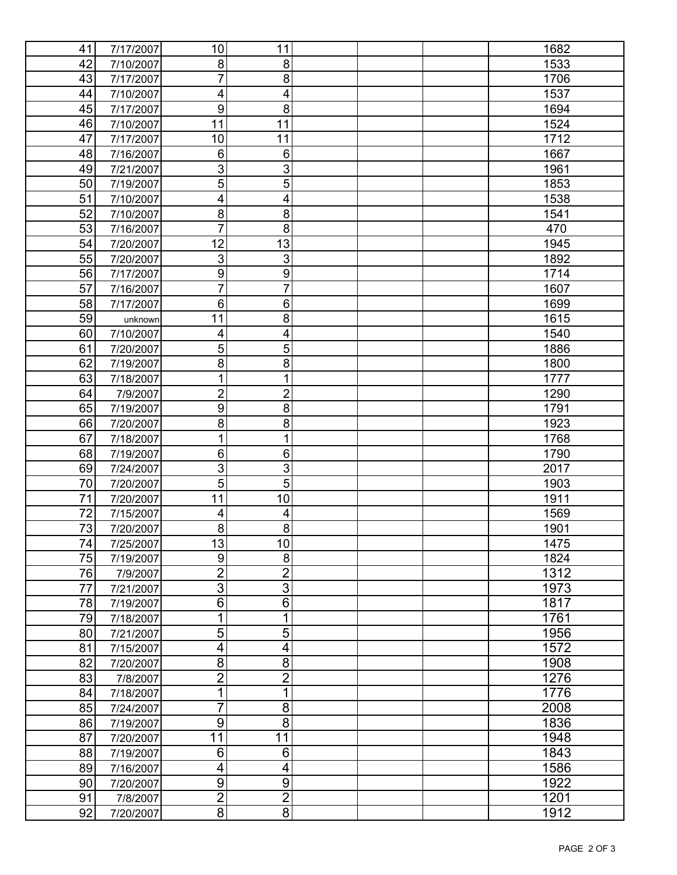| 41              | 7/17/2007 | 10                      | 11                        |  | 1682 |
|-----------------|-----------|-------------------------|---------------------------|--|------|
| 42              | 7/10/2007 | 8                       | 8                         |  | 1533 |
| 43              | 7/17/2007 | 7                       | 8                         |  | 1706 |
| 44              | 7/10/2007 | $\overline{\mathbf{4}}$ | 4                         |  | 1537 |
| 45              | 7/17/2007 | $\overline{9}$          | $\overline{8}$            |  | 1694 |
| 46              | 7/10/2007 | 11                      | 11                        |  | 1524 |
| 47              | 7/17/2007 | 10                      | 11                        |  | 1712 |
| 48              | 7/16/2007 | $\,6$                   | $\,6$                     |  | 1667 |
| 49              | 7/21/2007 | $\overline{3}$          | $\overline{3}$            |  | 1961 |
| 50              | 7/19/2007 | $\overline{5}$          | $\overline{5}$            |  | 1853 |
| 51              | 7/10/2007 | $\overline{\mathbf{4}}$ | 4                         |  | 1538 |
| 52              | 7/10/2007 | $\overline{8}$          | $\bf 8$                   |  | 1541 |
| 53              | 7/16/2007 | $\overline{7}$          | 8                         |  | 470  |
| 54              | 7/20/2007 | 12                      | 13                        |  | 1945 |
| 55              | 7/20/2007 | $\overline{3}$          | $\ensuremath{\mathsf{3}}$ |  | 1892 |
| 56              | 7/17/2007 | $\overline{9}$          | $\boldsymbol{9}$          |  | 1714 |
| 57              | 7/16/2007 | $\overline{7}$          | $\overline{7}$            |  | 1607 |
| 58              | 7/17/2007 | $\,6$                   | 6                         |  | 1699 |
| 59              |           | 11                      | 8                         |  |      |
|                 | unknown   |                         |                           |  | 1615 |
| 60              | 7/10/2007 | $\overline{\mathbf{4}}$ | $\overline{\mathbf{4}}$   |  | 1540 |
| 61              | 7/20/2007 | $\overline{5}$          | 5                         |  | 1886 |
| 62              | 7/19/2007 | 8                       | 8                         |  | 1800 |
| 63              | 7/18/2007 | 1                       | 1                         |  | 1777 |
| 64              | 7/9/2007  | $\overline{2}$          | $\overline{2}$            |  | 1290 |
| 65              | 7/19/2007 | $\boldsymbol{9}$        | 8                         |  | 1791 |
| 66              | 7/20/2007 | 8                       | 8                         |  | 1923 |
| 67              | 7/18/2007 | 1                       | 1                         |  | 1768 |
| 68              | 7/19/2007 | $\,6$                   | $\,6$                     |  | 1790 |
| 69              | 7/24/2007 | $\overline{3}$          | 3                         |  | 2017 |
| 70              | 7/20/2007 | $\overline{5}$          | $\overline{5}$            |  | 1903 |
| $\overline{71}$ | 7/20/2007 | 11                      | 10                        |  | 1911 |
| 72              | 7/15/2007 | 4                       | 4                         |  | 1569 |
| 73              | 7/20/2007 | 8                       | 8                         |  | 1901 |
| 74              | 7/25/2007 | 13                      | 10                        |  | 1475 |
| 75              | 7/19/2007 | 9                       | 8                         |  | 1824 |
| 76              | 7/9/2007  | $\frac{2}{3}$           | $\overline{2}$            |  | 1312 |
| 77              | 7/21/2007 |                         | $\overline{3}$            |  | 1973 |
| 78              | 7/19/2007 | $\overline{6}$          | $\overline{6}$            |  | 1817 |
| 79              | 7/18/2007 | $\overline{1}$          | 1                         |  | 1761 |
| 80              | 7/21/2007 | $\overline{5}$          | $\overline{5}$            |  | 1956 |
| 81              | 7/15/2007 | $\overline{4}$          | 4                         |  | 1572 |
| 82              | 7/20/2007 | $\overline{8}$          | $\overline{8}$            |  | 1908 |
| 83              | 7/8/2007  | $\overline{2}$          | $\overline{2}$            |  | 1276 |
| 84              | 7/18/2007 | $\mathbf 1$             | 1                         |  | 1776 |
| 85              | 7/24/2007 | $\overline{7}$          | 8                         |  | 2008 |
| 86              | 7/19/2007 | $\overline{9}$          | 8                         |  | 1836 |
| 87              | 7/20/2007 | $\overline{11}$         | 11                        |  | 1948 |
| 88              | 7/19/2007 | $\overline{6}$          | 6                         |  | 1843 |
| 89              | 7/16/2007 | 4                       | $\overline{\mathbf{4}}$   |  | 1586 |
| 90              | 7/20/2007 | $\overline{9}$          | $\overline{9}$            |  | 1922 |
| 91              | 7/8/2007  |                         |                           |  | 1201 |
| 92              | 7/20/2007 | $\frac{2}{8}$           | $\frac{2}{8}$             |  | 1912 |